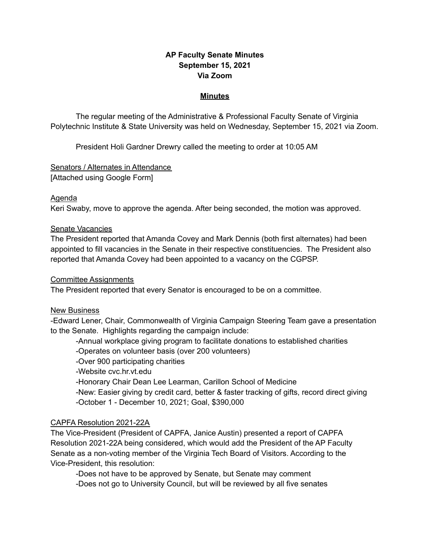# **AP Faculty Senate Minutes September 15, 2021 Via Zoom**

#### **Minutes**

The regular meeting of the Administrative & Professional Faculty Senate of Virginia Polytechnic Institute & State University was held on Wednesday, September 15, 2021 via Zoom.

President Holi Gardner Drewry called the meeting to order at 10:05 AM

Senators / Alternates in Attendance [Attached using Google Form]

#### Agenda

Keri Swaby, move to approve the agenda. After being seconded, the motion was approved.

#### Senate Vacancies

The President reported that Amanda Covey and Mark Dennis (both first alternates) had been appointed to fill vacancies in the Senate in their respective constituencies. The President also reported that Amanda Covey had been appointed to a vacancy on the CGPSP.

### Committee Assignments

The President reported that every Senator is encouraged to be on a committee.

## New Business

-Edward Lener, Chair, Commonwealth of Virginia Campaign Steering Team gave a presentation to the Senate. Highlights regarding the campaign include:

-Annual workplace giving program to facilitate donations to established charities

-Operates on volunteer basis (over 200 volunteers)

-Over 900 participating charities

-Website cvc.hr.vt.edu

-Honorary Chair Dean Lee Learman, Carillon School of Medicine

-New: Easier giving by credit card, better & faster tracking of gifts, record direct giving -October 1 - December 10, 2021; Goal, \$390,000

## CAPFA Resolution 2021-22A

The Vice-President (President of CAPFA, Janice Austin) presented a report of CAPFA Resolution 2021-22A being considered, which would add the President of the AP Faculty Senate as a non-voting member of the Virginia Tech Board of Visitors. According to the Vice-President, this resolution:

-Does not have to be approved by Senate, but Senate may comment -Does not go to University Council, but will be reviewed by all five senates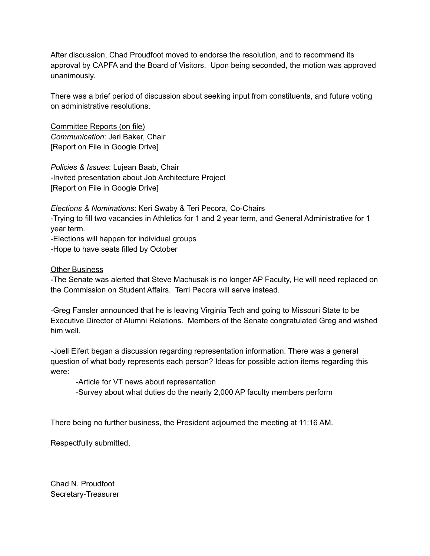After discussion, Chad Proudfoot moved to endorse the resolution, and to recommend its approval by CAPFA and the Board of Visitors. Upon being seconded, the motion was approved unanimously.

There was a brief period of discussion about seeking input from constituents, and future voting on administrative resolutions.

Committee Reports (on file) *Communication*: Jeri Baker, Chair [Report on File in Google Drive]

*Policies & Issues*: Lujean Baab, Chair -Invited presentation about Job Architecture Project [Report on File in Google Drive]

*Elections & Nominations*: Keri Swaby & Teri Pecora, Co-Chairs -Trying to fill two vacancies in Athletics for 1 and 2 year term, and General Administrative for 1 year term. -Elections will happen for individual groups

-Hope to have seats filled by October

Other Business

-The Senate was alerted that Steve Machusak is no longer AP Faculty, He will need replaced on the Commission on Student Affairs. Terri Pecora will serve instead.

-Greg Fansler announced that he is leaving Virginia Tech and going to Missouri State to be Executive Director of Alumni Relations. Members of the Senate congratulated Greg and wished him well.

-Joell Eifert began a discussion regarding representation information. There was a general question of what body represents each person? Ideas for possible action items regarding this were:

-Article for VT news about representation

-Survey about what duties do the nearly 2,000 AP faculty members perform

There being no further business, the President adjourned the meeting at 11:16 AM.

Respectfully submitted,

Chad N. Proudfoot Secretary-Treasurer